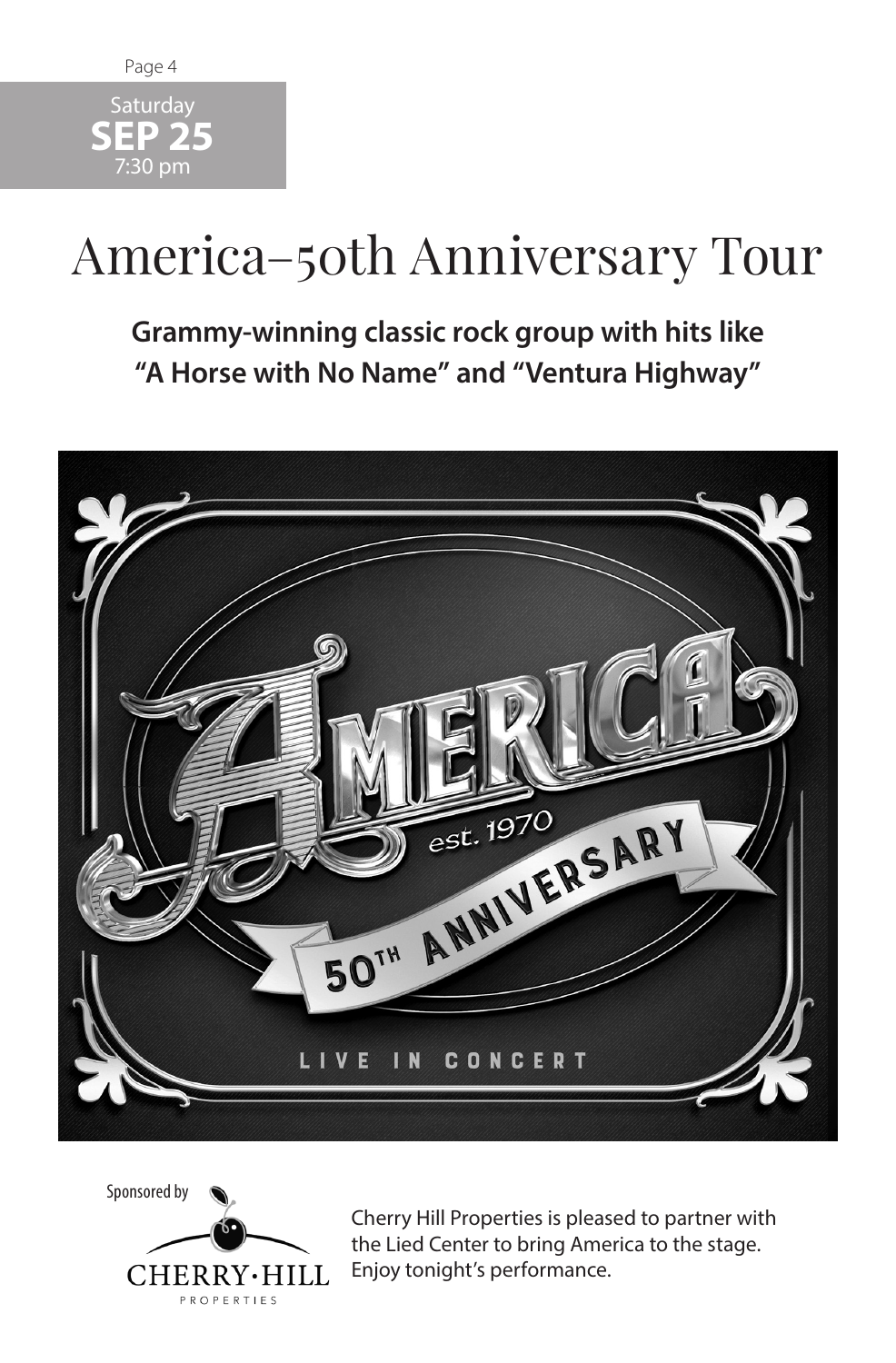

## America–50th Anniversary Tour

**Grammy-winning classic rock group with hits like "A Horse with No Name" and "Ventura Highway"**





Cherry Hill Properties is pleased to partner with the Lied Center to bring America to the stage. Enjoy tonight's performance.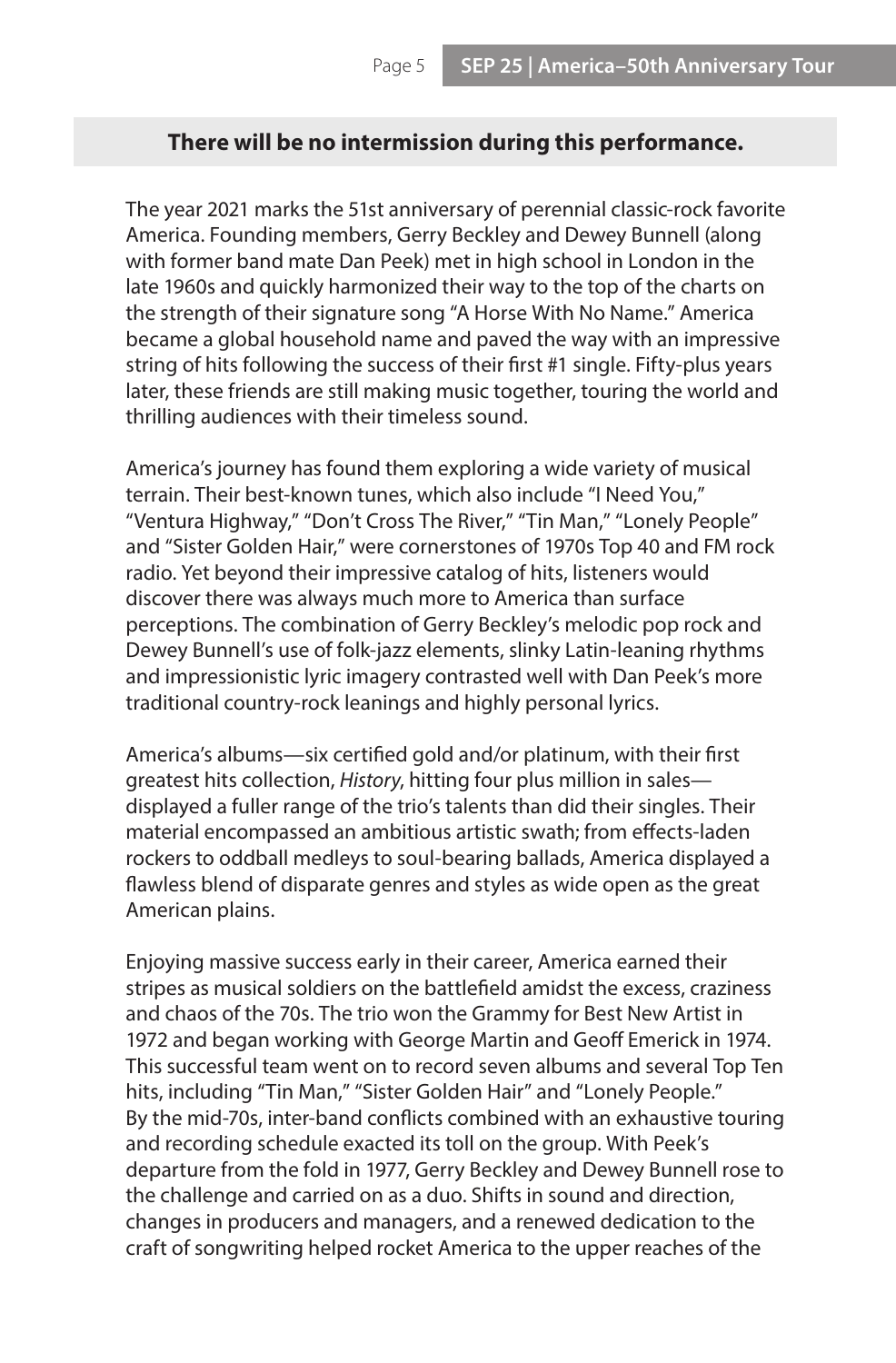## **There will be no intermission during this performance.**

The year 2021 marks the 51st anniversary of perennial classic-rock favorite America. Founding members, Gerry Beckley and Dewey Bunnell (along with former band mate Dan Peek) met in high school in London in the late 1960s and quickly harmonized their way to the top of the charts on the strength of their signature song "A Horse With No Name." America became a global household name and paved the way with an impressive string of hits following the success of their first #1 single. Fifty-plus years later, these friends are still making music together, touring the world and thrilling audiences with their timeless sound.

America's journey has found them exploring a wide variety of musical terrain. Their best-known tunes, which also include "I Need You," "Ventura Highway," "Don't Cross The River," "Tin Man," "Lonely People" and "Sister Golden Hair," were cornerstones of 1970s Top 40 and FM rock radio. Yet beyond their impressive catalog of hits, listeners would discover there was always much more to America than surface perceptions. The combination of Gerry Beckley's melodic pop rock and Dewey Bunnell's use of folk-jazz elements, slinky Latin-leaning rhythms and impressionistic lyric imagery contrasted well with Dan Peek's more traditional country-rock leanings and highly personal lyrics.

America's albums—six certified gold and/or platinum, with their first greatest hits collection, *History*, hitting four plus million in sales displayed a fuller range of the trio's talents than did their singles. Their material encompassed an ambitious artistic swath; from effects-laden rockers to oddball medleys to soul-bearing ballads, America displayed a flawless blend of disparate genres and styles as wide open as the great American plains.

Enjoying massive success early in their career, America earned their stripes as musical soldiers on the battlefield amidst the excess, craziness and chaos of the 70s. The trio won the Grammy for Best New Artist in 1972 and began working with George Martin and Geoff Emerick in 1974. This successful team went on to record seven albums and several Top Ten hits, including "Tin Man," "Sister Golden Hair" and "Lonely People." By the mid-70s, inter-band conflicts combined with an exhaustive touring and recording schedule exacted its toll on the group. With Peek's departure from the fold in 1977, Gerry Beckley and Dewey Bunnell rose to the challenge and carried on as a duo. Shifts in sound and direction, changes in producers and managers, and a renewed dedication to the craft of songwriting helped rocket America to the upper reaches of the